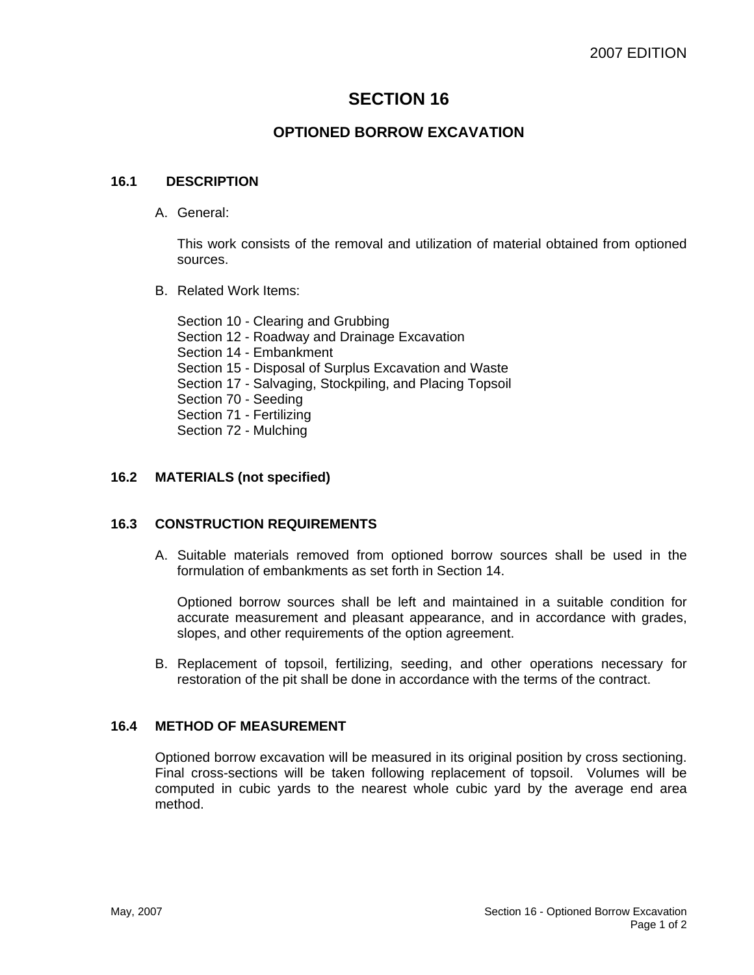# **SECTION 16**

# **OPTIONED BORROW EXCAVATION**

#### **16.1 DESCRIPTION**

A. General:

This work consists of the removal and utilization of material obtained from optioned sources.

B. Related Work Items:

Section 10 - Clearing and Grubbing Section 12 - Roadway and Drainage Excavation Section 14 - Embankment Section 15 - Disposal of Surplus Excavation and Waste Section 17 - Salvaging, Stockpiling, and Placing Topsoil Section 70 - Seeding Section 71 - Fertilizing Section 72 - Mulching

## **16.2 MATERIALS (not specified)**

## **16.3 CONSTRUCTION REQUIREMENTS**

A. Suitable materials removed from optioned borrow sources shall be used in the formulation of embankments as set forth in Section 14.

Optioned borrow sources shall be left and maintained in a suitable condition for accurate measurement and pleasant appearance, and in accordance with grades, slopes, and other requirements of the option agreement.

B. Replacement of topsoil, fertilizing, seeding, and other operations necessary for restoration of the pit shall be done in accordance with the terms of the contract.

## **16.4 METHOD OF MEASUREMENT**

Optioned borrow excavation will be measured in its original position by cross sectioning. Final cross-sections will be taken following replacement of topsoil. Volumes will be computed in cubic yards to the nearest whole cubic yard by the average end area method.